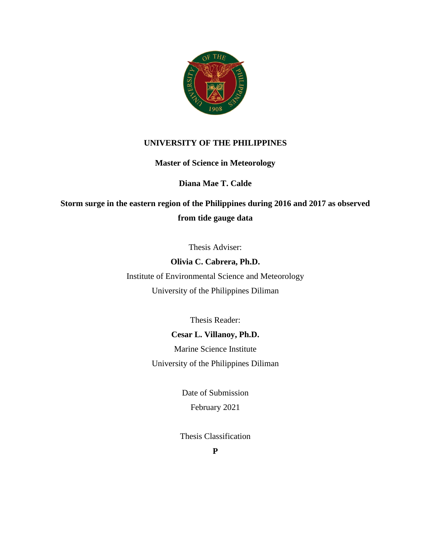

## **UNIVERSITY OF THE PHILIPPINES**

**Master of Science in Meteorology**

## **Diana Mae T. Calde**

**Storm surge in the eastern region of the Philippines during 2016 and 2017 as observed from tide gauge data**

Thesis Adviser:

**Olivia C. Cabrera, Ph.D.** Institute of Environmental Science and Meteorology University of the Philippines Diliman

Thesis Reader:

## **Cesar L. Villanoy, Ph.D.**

Marine Science Institute University of the Philippines Diliman

> Date of Submission February 2021

Thesis Classification